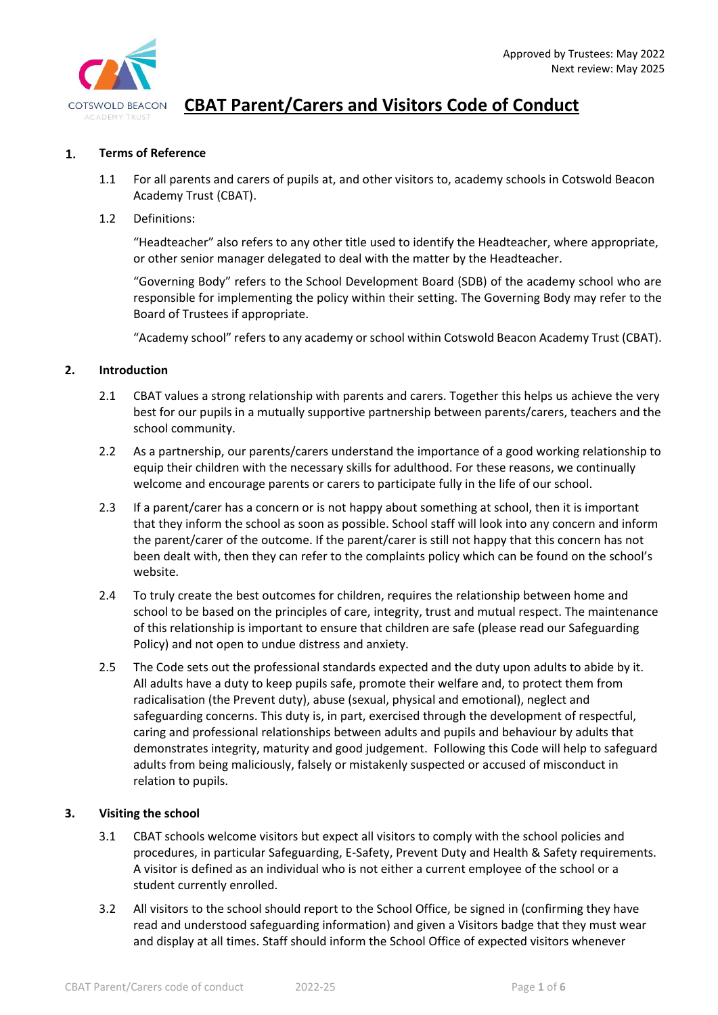

#### $\mathbf{1}$ . **Terms of Reference**

- 1.1 For all parents and carers of pupils at, and other visitors to, academy schools in Cotswold Beacon Academy Trust (CBAT).
- 1.2 Definitions:

"Headteacher" also refers to any other title used to identify the Headteacher, where appropriate, or other senior manager delegated to deal with the matter by the Headteacher.

"Governing Body" refers to the School Development Board (SDB) of the academy school who are responsible for implementing the policy within their setting. The Governing Body may refer to the Board of Trustees if appropriate.

"Academy school" refers to any academy or school within Cotswold Beacon Academy Trust (CBAT).

#### **2. Introduction**

- 2.1 CBAT values a strong relationship with parents and carers. Together this helps us achieve the very best for our pupils in a mutually supportive partnership between parents/carers, teachers and the school community.
- 2.2 As a partnership, our parents/carers understand the importance of a good working relationship to equip their children with the necessary skills for adulthood. For these reasons, we continually welcome and encourage parents or carers to participate fully in the life of our school.
- 2.3 If a parent/carer has a concern or is not happy about something at school, then it is important that they inform the school as soon as possible. School staff will look into any concern and inform the parent/carer of the outcome. If the parent/carer is still not happy that this concern has not been dealt with, then they can refer to the complaints policy which can be found on the school's website.
- 2.4 To truly create the best outcomes for children, requires the relationship between home and school to be based on the principles of care, integrity, trust and mutual respect. The maintenance of this relationship is important to ensure that children are safe (please read our Safeguarding Policy) and not open to undue distress and anxiety.
- 2.5 The Code sets out the professional standards expected and the duty upon adults to abide by it. All adults have a duty to keep pupils safe, promote their welfare and, to protect them from radicalisation (the Prevent duty), abuse (sexual, physical and emotional), neglect and safeguarding concerns. This duty is, in part, exercised through the development of respectful, caring and professional relationships between adults and pupils and behaviour by adults that demonstrates integrity, maturity and good judgement. Following this Code will help to safeguard adults from being maliciously, falsely or mistakenly suspected or accused of misconduct in relation to pupils.

#### **3. Visiting the school**

- 3.1 CBAT schools welcome visitors but expect all visitors to comply with the school policies and procedures, in particular Safeguarding, E-Safety, Prevent Duty and Health & Safety requirements. A visitor is defined as an individual who is not either a current employee of the school or a student currently enrolled.
- 3.2 All visitors to the school should report to the School Office, be signed in (confirming they have read and understood safeguarding information) and given a Visitors badge that they must wear and display at all times. Staff should inform the School Office of expected visitors whenever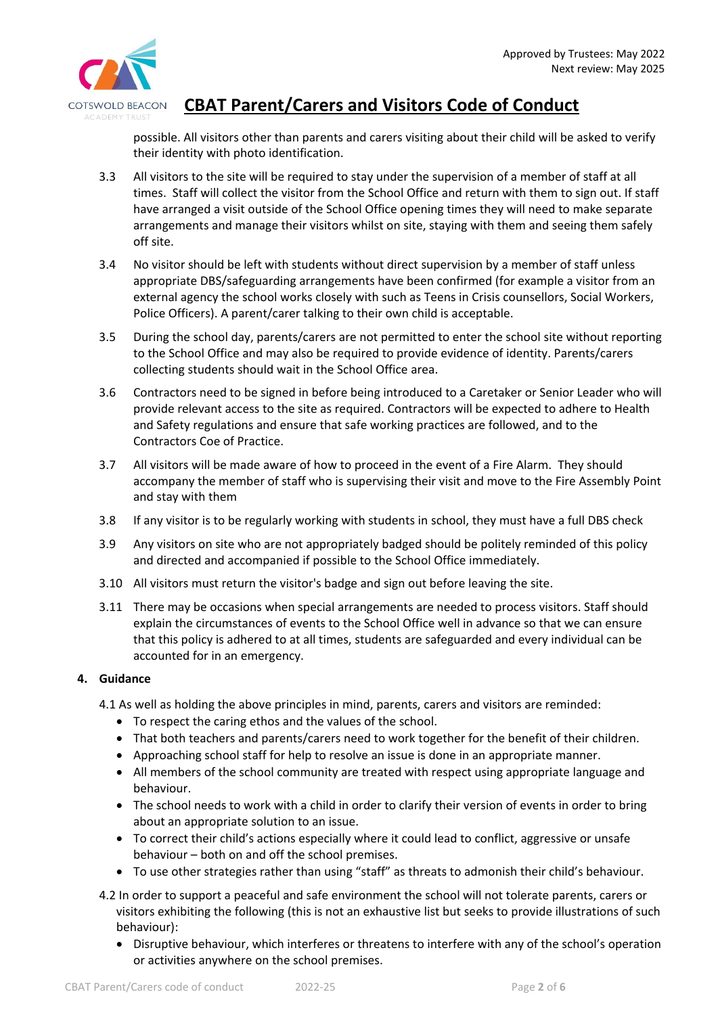

possible. All visitors other than parents and carers visiting about their child will be asked to verify their identity with photo identification.

- 3.3 All visitors to the site will be required to stay under the supervision of a member of staff at all times. Staff will collect the visitor from the School Office and return with them to sign out. If staff have arranged a visit outside of the School Office opening times they will need to make separate arrangements and manage their visitors whilst on site, staying with them and seeing them safely off site.
- 3.4 No visitor should be left with students without direct supervision by a member of staff unless appropriate DBS/safeguarding arrangements have been confirmed (for example a visitor from an external agency the school works closely with such as Teens in Crisis counsellors, Social Workers, Police Officers). A parent/carer talking to their own child is acceptable.
- 3.5 During the school day, parents/carers are not permitted to enter the school site without reporting to the School Office and may also be required to provide evidence of identity. Parents/carers collecting students should wait in the School Office area.
- 3.6 Contractors need to be signed in before being introduced to a Caretaker or Senior Leader who will provide relevant access to the site as required. Contractors will be expected to adhere to Health and Safety regulations and ensure that safe working practices are followed, and to the Contractors Coe of Practice.
- 3.7 All visitors will be made aware of how to proceed in the event of a Fire Alarm. They should accompany the member of staff who is supervising their visit and move to the Fire Assembly Point and stay with them
- 3.8 If any visitor is to be regularly working with students in school, they must have a full DBS check
- 3.9 Any visitors on site who are not appropriately badged should be politely reminded of this policy and directed and accompanied if possible to the School Office immediately.
- 3.10 All visitors must return the visitor's badge and sign out before leaving the site.
- 3.11 There may be occasions when special arrangements are needed to process visitors. Staff should explain the circumstances of events to the School Office well in advance so that we can ensure that this policy is adhered to at all times, students are safeguarded and every individual can be accounted for in an emergency.

### **4. Guidance**

- 4.1 As well as holding the above principles in mind, parents, carers and visitors are reminded:
	- To respect the caring ethos and the values of the school.
	- That both teachers and parents/carers need to work together for the benefit of their children.
	- Approaching school staff for help to resolve an issue is done in an appropriate manner.
	- All members of the school community are treated with respect using appropriate language and behaviour.
	- The school needs to work with a child in order to clarify their version of events in order to bring about an appropriate solution to an issue.
	- To correct their child's actions especially where it could lead to conflict, aggressive or unsafe behaviour – both on and off the school premises.
	- To use other strategies rather than using "staff" as threats to admonish their child's behaviour.
- 4.2 In order to support a peaceful and safe environment the school will not tolerate parents, carers or visitors exhibiting the following (this is not an exhaustive list but seeks to provide illustrations of such behaviour):
	- Disruptive behaviour, which interferes or threatens to interfere with any of the school's operation or activities anywhere on the school premises.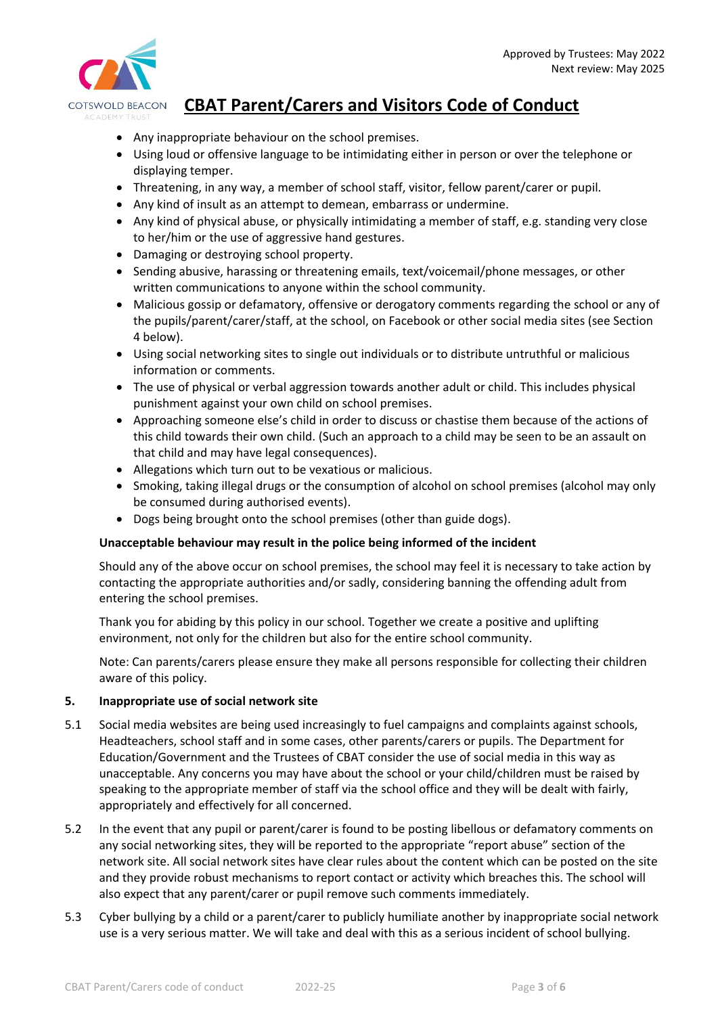

- Any inappropriate behaviour on the school premises.
- Using loud or offensive language to be intimidating either in person or over the telephone or displaying temper.
- Threatening, in any way, a member of school staff, visitor, fellow parent/carer or pupil.
- Any kind of insult as an attempt to demean, embarrass or undermine.
- Any kind of physical abuse, or physically intimidating a member of staff, e.g. standing very close to her/him or the use of aggressive hand gestures.
- Damaging or destroying school property.
- Sending abusive, harassing or threatening emails, text/voicemail/phone messages, or other written communications to anyone within the school community.
- Malicious gossip or defamatory, offensive or derogatory comments regarding the school or any of the pupils/parent/carer/staff, at the school, on Facebook or other social media sites (see Section 4 below).
- Using social networking sites to single out individuals or to distribute untruthful or malicious information or comments.
- The use of physical or verbal aggression towards another adult or child. This includes physical punishment against your own child on school premises.
- Approaching someone else's child in order to discuss or chastise them because of the actions of this child towards their own child. (Such an approach to a child may be seen to be an assault on that child and may have legal consequences).
- Allegations which turn out to be vexatious or malicious.
- Smoking, taking illegal drugs or the consumption of alcohol on school premises (alcohol may only be consumed during authorised events).
- Dogs being brought onto the school premises (other than guide dogs).

#### **Unacceptable behaviour may result in the police being informed of the incident**

Should any of the above occur on school premises, the school may feel it is necessary to take action by contacting the appropriate authorities and/or sadly, considering banning the offending adult from entering the school premises.

Thank you for abiding by this policy in our school. Together we create a positive and uplifting environment, not only for the children but also for the entire school community.

Note: Can parents/carers please ensure they make all persons responsible for collecting their children aware of this policy.

#### **5. Inappropriate use of social network site**

- 5.1 Social media websites are being used increasingly to fuel campaigns and complaints against schools, Headteachers, school staff and in some cases, other parents/carers or pupils. The Department for Education/Government and the Trustees of CBAT consider the use of social media in this way as unacceptable. Any concerns you may have about the school or your child/children must be raised by speaking to the appropriate member of staff via the school office and they will be dealt with fairly, appropriately and effectively for all concerned.
- 5.2 In the event that any pupil or parent/carer is found to be posting libellous or defamatory comments on any social networking sites, they will be reported to the appropriate "report abuse" section of the network site. All social network sites have clear rules about the content which can be posted on the site and they provide robust mechanisms to report contact or activity which breaches this. The school will also expect that any parent/carer or pupil remove such comments immediately.
- 5.3 Cyber bullying by a child or a parent/carer to publicly humiliate another by inappropriate social network use is a very serious matter. We will take and deal with this as a serious incident of school bullying.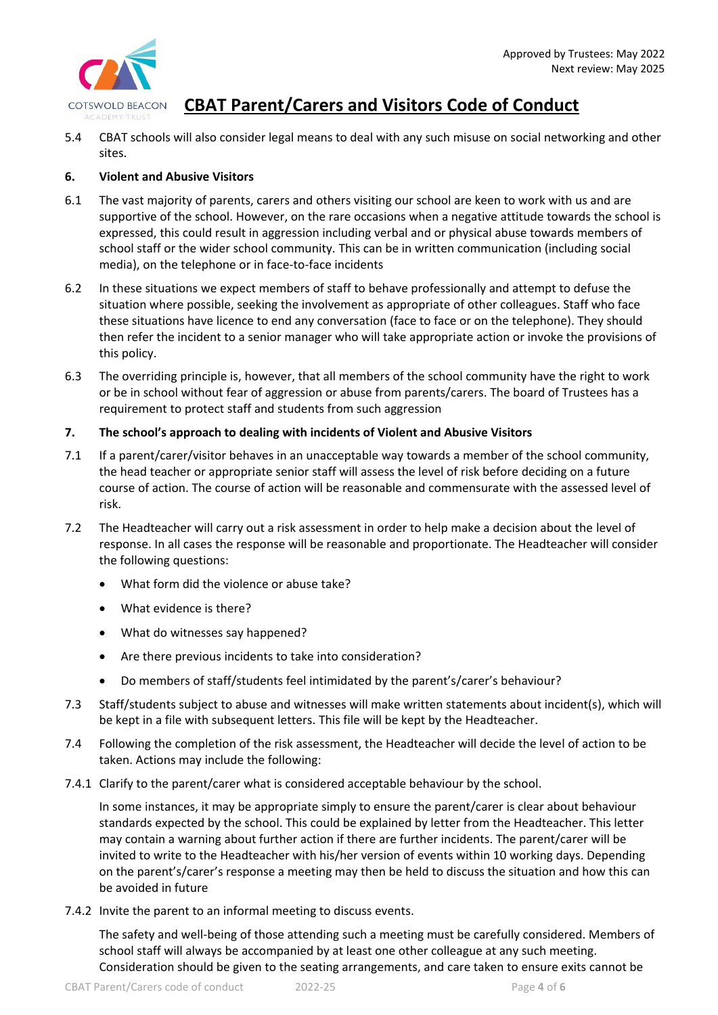

5.4 CBAT schools will also consider legal means to deal with any such misuse on social networking and other sites.

#### **6. Violent and Abusive Visitors**

- 6.1 The vast majority of parents, carers and others visiting our school are keen to work with us and are supportive of the school. However, on the rare occasions when a negative attitude towards the school is expressed, this could result in aggression including verbal and or physical abuse towards members of school staff or the wider school community. This can be in written communication (including social media), on the telephone or in face-to-face incidents
- 6.2 In these situations we expect members of staff to behave professionally and attempt to defuse the situation where possible, seeking the involvement as appropriate of other colleagues. Staff who face these situations have licence to end any conversation (face to face or on the telephone). They should then refer the incident to a senior manager who will take appropriate action or invoke the provisions of this policy.
- 6.3 The overriding principle is, however, that all members of the school community have the right to work or be in school without fear of aggression or abuse from parents/carers. The board of Trustees has a requirement to protect staff and students from such aggression

#### **7. The school's approach to dealing with incidents of Violent and Abusive Visitors**

- 7.1 If a parent/carer/visitor behaves in an unacceptable way towards a member of the school community, the head teacher or appropriate senior staff will assess the level of risk before deciding on a future course of action. The course of action will be reasonable and commensurate with the assessed level of risk.
- 7.2 The Headteacher will carry out a risk assessment in order to help make a decision about the level of response. In all cases the response will be reasonable and proportionate. The Headteacher will consider the following questions:
	- What form did the violence or abuse take?
	- What evidence is there?
	- What do witnesses say happened?
	- Are there previous incidents to take into consideration?
	- Do members of staff/students feel intimidated by the parent's/carer's behaviour?
- 7.3 Staff/students subject to abuse and witnesses will make written statements about incident(s), which will be kept in a file with subsequent letters. This file will be kept by the Headteacher.
- 7.4 Following the completion of the risk assessment, the Headteacher will decide the level of action to be taken. Actions may include the following:
- 7.4.1 Clarify to the parent/carer what is considered acceptable behaviour by the school.

In some instances, it may be appropriate simply to ensure the parent/carer is clear about behaviour standards expected by the school. This could be explained by letter from the Headteacher. This letter may contain a warning about further action if there are further incidents. The parent/carer will be invited to write to the Headteacher with his/her version of events within 10 working days. Depending on the parent's/carer's response a meeting may then be held to discuss the situation and how this can be avoided in future

7.4.2 Invite the parent to an informal meeting to discuss events.

The safety and well-being of those attending such a meeting must be carefully considered. Members of school staff will always be accompanied by at least one other colleague at any such meeting. Consideration should be given to the seating arrangements, and care taken to ensure exits cannot be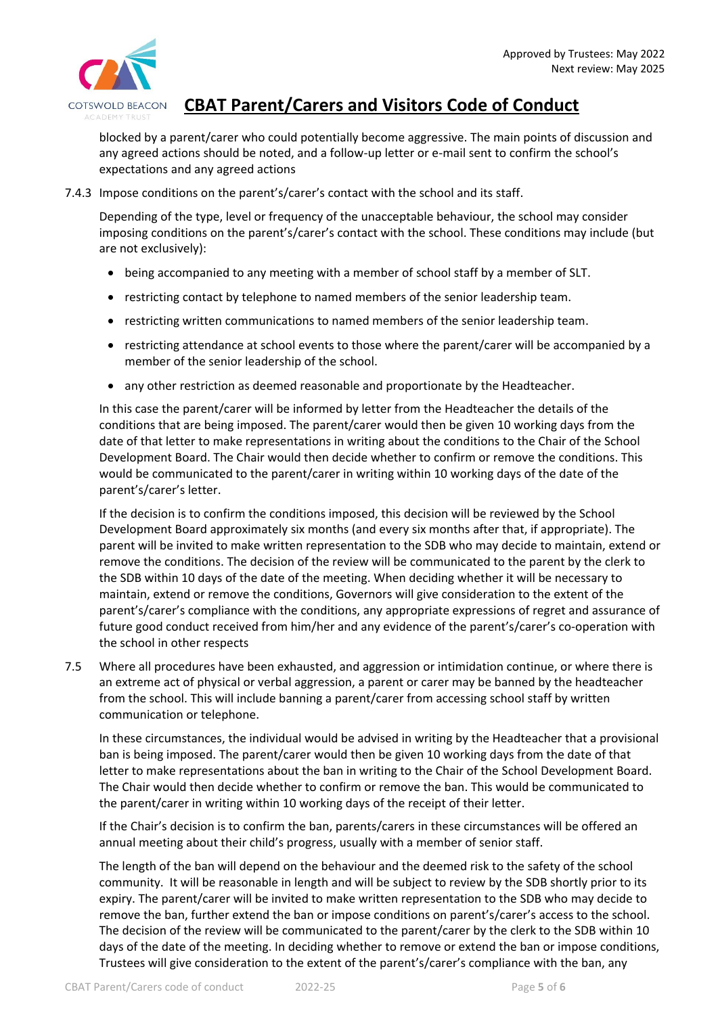

blocked by a parent/carer who could potentially become aggressive. The main points of discussion and any agreed actions should be noted, and a follow-up letter or e-mail sent to confirm the school's expectations and any agreed actions

#### 7.4.3 Impose conditions on the parent's/carer's contact with the school and its staff.

Depending of the type, level or frequency of the unacceptable behaviour, the school may consider imposing conditions on the parent's/carer's contact with the school. These conditions may include (but are not exclusively):

- being accompanied to any meeting with a member of school staff by a member of SLT.
- restricting contact by telephone to named members of the senior leadership team.
- restricting written communications to named members of the senior leadership team.
- restricting attendance at school events to those where the parent/carer will be accompanied by a member of the senior leadership of the school.
- any other restriction as deemed reasonable and proportionate by the Headteacher.

In this case the parent/carer will be informed by letter from the Headteacher the details of the conditions that are being imposed. The parent/carer would then be given 10 working days from the date of that letter to make representations in writing about the conditions to the Chair of the School Development Board. The Chair would then decide whether to confirm or remove the conditions. This would be communicated to the parent/carer in writing within 10 working days of the date of the parent's/carer's letter.

If the decision is to confirm the conditions imposed, this decision will be reviewed by the School Development Board approximately six months (and every six months after that, if appropriate). The parent will be invited to make written representation to the SDB who may decide to maintain, extend or remove the conditions. The decision of the review will be communicated to the parent by the clerk to the SDB within 10 days of the date of the meeting. When deciding whether it will be necessary to maintain, extend or remove the conditions, Governors will give consideration to the extent of the parent's/carer's compliance with the conditions, any appropriate expressions of regret and assurance of future good conduct received from him/her and any evidence of the parent's/carer's co-operation with the school in other respects

7.5 Where all procedures have been exhausted, and aggression or intimidation continue, or where there is an extreme act of physical or verbal aggression, a parent or carer may be banned by the headteacher from the school. This will include banning a parent/carer from accessing school staff by written communication or telephone.

In these circumstances, the individual would be advised in writing by the Headteacher that a provisional ban is being imposed. The parent/carer would then be given 10 working days from the date of that letter to make representations about the ban in writing to the Chair of the School Development Board. The Chair would then decide whether to confirm or remove the ban. This would be communicated to the parent/carer in writing within 10 working days of the receipt of their letter.

If the Chair's decision is to confirm the ban, parents/carers in these circumstances will be offered an annual meeting about their child's progress, usually with a member of senior staff.

The length of the ban will depend on the behaviour and the deemed risk to the safety of the school community. It will be reasonable in length and will be subject to review by the SDB shortly prior to its expiry. The parent/carer will be invited to make written representation to the SDB who may decide to remove the ban, further extend the ban or impose conditions on parent's/carer's access to the school. The decision of the review will be communicated to the parent/carer by the clerk to the SDB within 10 days of the date of the meeting. In deciding whether to remove or extend the ban or impose conditions, Trustees will give consideration to the extent of the parent's/carer's compliance with the ban, any